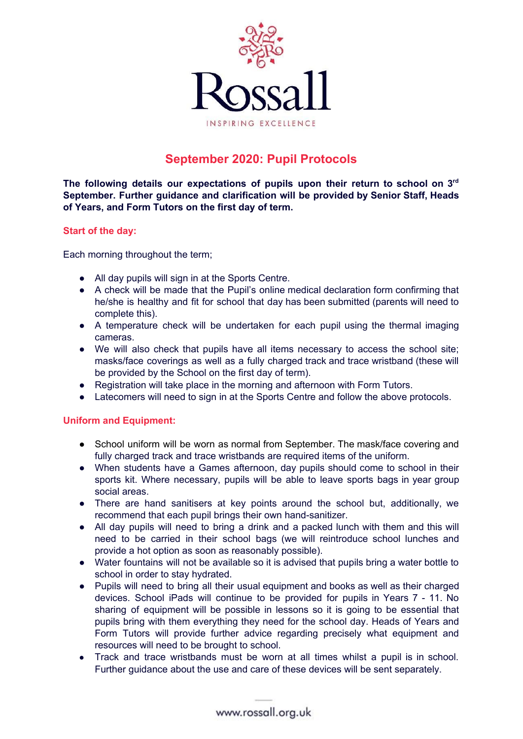

# **September 2020: Pupil Protocols**

**The following details our expectations of pupils upon their return to school on 3 rd September. Further guidance and clarification will be provided by Senior Staff, Heads of Years, and Form Tutors on the first day of term.**

### **Start of the day:**

Each morning throughout the term;

- All day pupils will sign in at the Sports Centre.
- A check will be made that the Pupil's online medical declaration form confirming that he/she is healthy and fit for school that day has been submitted (parents will need to complete this).
- A temperature check will be undertaken for each pupil using the thermal imaging cameras.
- We will also check that pupils have all items necessary to access the school site; masks/face coverings as well as a fully charged track and trace wristband (these will be provided by the School on the first day of term).
- Registration will take place in the morning and afternoon with Form Tutors.
- Latecomers will need to sign in at the Sports Centre and follow the above protocols.

# **Uniform and Equipment:**

- School uniform will be worn as normal from September. The mask/face covering and fully charged track and trace wristbands are required items of the uniform.
- When students have a Games afternoon, day pupils should come to school in their sports kit. Where necessary, pupils will be able to leave sports bags in year group social areas.
- There are hand sanitisers at key points around the school but, additionally, we recommend that each pupil brings their own hand-sanitizer.
- All day pupils will need to bring a drink and a packed lunch with them and this will need to be carried in their school bags (we will reintroduce school lunches and provide a hot option as soon as reasonably possible).
- Water fountains will not be available so it is advised that pupils bring a water bottle to school in order to stay hydrated.
- Pupils will need to bring all their usual equipment and books as well as their charged devices. School iPads will continue to be provided for pupils in Years 7 - 11. No sharing of equipment will be possible in lessons so it is going to be essential that pupils bring with them everything they need for the school day. Heads of Years and Form Tutors will provide further advice regarding precisely what equipment and resources will need to be brought to school.
- Track and trace wristbands must be worn at all times whilst a pupil is in school. Further guidance about the use and care of these devices will be sent separately.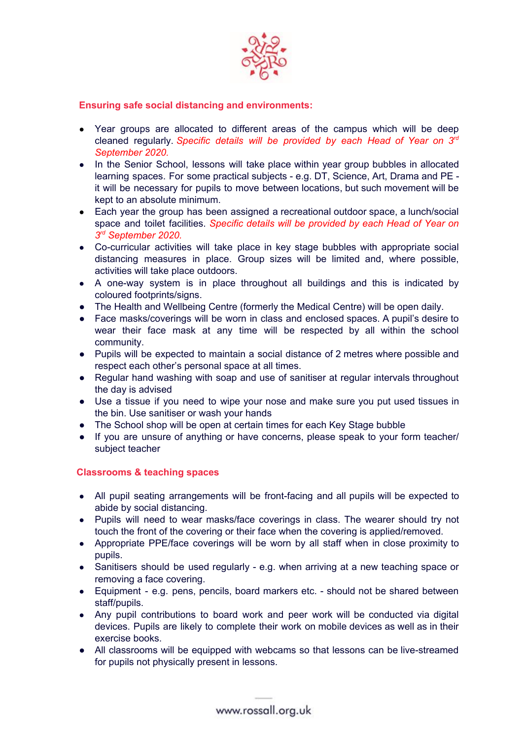

### **Ensuring safe social distancing and environments:**

- Year groups are allocated to different areas of the campus which will be deep cleaned regularly. *Specific details will be provided by each Head of Year on 3 rd September 2020.*
- In the Senior School, lessons will take place within year group bubbles in allocated learning spaces. For some practical subjects - e.g. DT, Science, Art, Drama and PE it will be necessary for pupils to move between locations, but such movement will be kept to an absolute minimum.
- Each year the group has been assigned a recreational outdoor space, a lunch/social space and toilet facilities. *Specific details will be provided by each Head of Year on 3 rd September 2020.*
- Co-curricular activities will take place in key stage bubbles with appropriate social distancing measures in place. Group sizes will be limited and, where possible, activities will take place outdoors.
- A one-way system is in place throughout all buildings and this is indicated by coloured footprints/signs.
- The Health and Wellbeing Centre (formerly the Medical Centre) will be open daily.
- Face masks/coverings will be worn in class and enclosed spaces. A pupil's desire to wear their face mask at any time will be respected by all within the school community.
- Pupils will be expected to maintain a social distance of 2 metres where possible and respect each other's personal space at all times.
- Regular hand washing with soap and use of sanitiser at regular intervals throughout the day is advised
- Use a tissue if you need to wipe your nose and make sure you put used tissues in the bin. Use sanitiser or wash your hands
- The School shop will be open at certain times for each Key Stage bubble
- If you are unsure of anything or have concerns, please speak to your form teacher/ subject teacher

# **Classrooms & teaching spaces**

- All pupil seating arrangements will be front-facing and all pupils will be expected to abide by social distancing.
- Pupils will need to wear masks/face coverings in class. The wearer should try not touch the front of the covering or their face when the covering is applied/removed.
- Appropriate PPE/face coverings will be worn by all staff when in close proximity to pupils.
- Sanitisers should be used regularly e.g. when arriving at a new teaching space or removing a face covering.
- Equipment e.g. pens, pencils, board markers etc. should not be shared between staff/pupils.
- Any pupil contributions to board work and peer work will be conducted via digital devices. Pupils are likely to complete their work on mobile devices as well as in their exercise books.
- All classrooms will be equipped with webcams so that lessons can be live-streamed for pupils not physically present in lessons.

www.rossall.org.uk